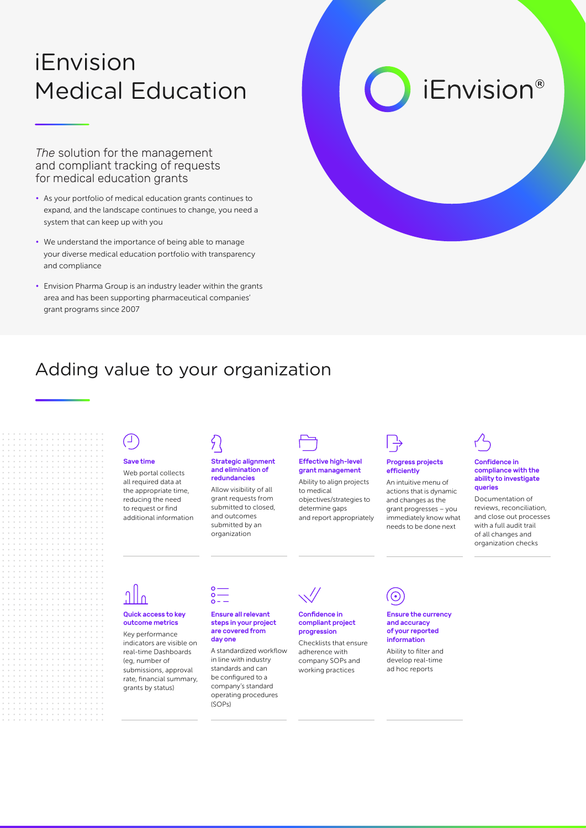# iEnvision Medical Education

*The* solution for the management and compliant tracking of requests for medical education grants

- As your portfolio of medical education grants continues to expand, and the landscape continues to change, you need a system that can keep up with you
- We understand the importance of being able to manage your diverse medical education portfolio with transparency and compliance
- Envision Pharma Group is an industry leader within the grants area and has been supporting pharmaceutical companies' grant programs since 2007

## Adding value to your organization

### Save time

Web portal collects all required data at the appropriate time, reducing the need to request or find additional information

#### Strategic alignment and elimination of redundancies

Allow visibility of all grant requests from submitted to closed, and outcomes submitted by an organization

### Effective high-level grant management

Ability to align projects to medical objectives/strategies to determine gaps and report appropriately



### Progress projects efficiently

An intuitive menu of actions that is dynamic and changes as the grant progresses – you immediately know what needs to be done next



*iEnvision®* 

### Confidence in compliance with the ability to investigate queries

Documentation of reviews, reconciliation, and close out processes with a full audit trail of all changes and organization checks

#### Quick access to key outcome metrics

Key performance indicators are visible on real-time Dashboards (eg, number of submissions, approval rate, financial summary, grants by status)



#### Ensure all relevant steps in your project are covered from day one

A standardized workflow in line with industry standards and can be configured to a company's standard operating procedures (SOPs)



Checklists that ensure adherence with company SOPs and working practices information



Ability to filter and develop real-time ad hoc reports